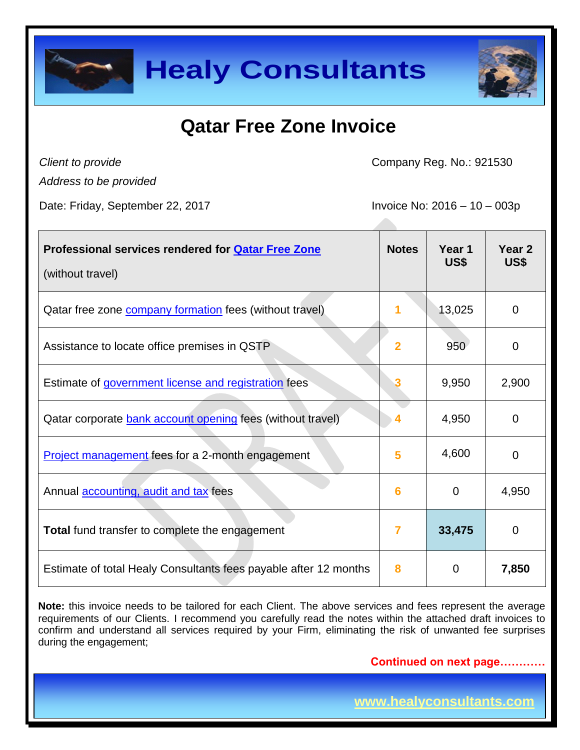



# **Qatar Free Zone Invoice**

*Client to provide*

Company Reg. No.: 921530

*Address to be provided*

Date: Friday, September 22, 2017 Invoice No: 2016 – 10 – 003p

| Professional services rendered for <b>Qatar Free Zone</b><br>(without travel) | <b>Notes</b>   | Year 1<br>US\$ | Year <sub>2</sub><br>US\$ |
|-------------------------------------------------------------------------------|----------------|----------------|---------------------------|
| Qatar free zone <b>company formation</b> fees (without travel)                |                | 13,025         | $\overline{0}$            |
| Assistance to locate office premises in QSTP                                  | $\overline{2}$ | 950            | $\overline{0}$            |
| Estimate of government license and registration fees                          |                | 9,950          | 2,900                     |
| Qatar corporate bank account opening fees (without travel)                    |                | 4,950          | 0                         |
| <b>Project management fees for a 2-month engagement</b>                       | 5              | 4,600          | 0                         |
| Annual <b>accounting</b> , audit and tax fees                                 | 6              | 0              | 4,950                     |
| <b>Total</b> fund transfer to complete the engagement                         | 7              | 33,475         | $\overline{0}$            |
| Estimate of total Healy Consultants fees payable after 12 months              | 8              | $\Omega$       | 7,850                     |

**Note:** this invoice needs to be tailored for each Client. The above services and fees represent the average requirements of our Clients. I recommend you carefully read the notes within the attached draft invoices to confirm and understand all services required by your Firm, eliminating the risk of unwanted fee surprises during the engagement;

**Continued on next page…………**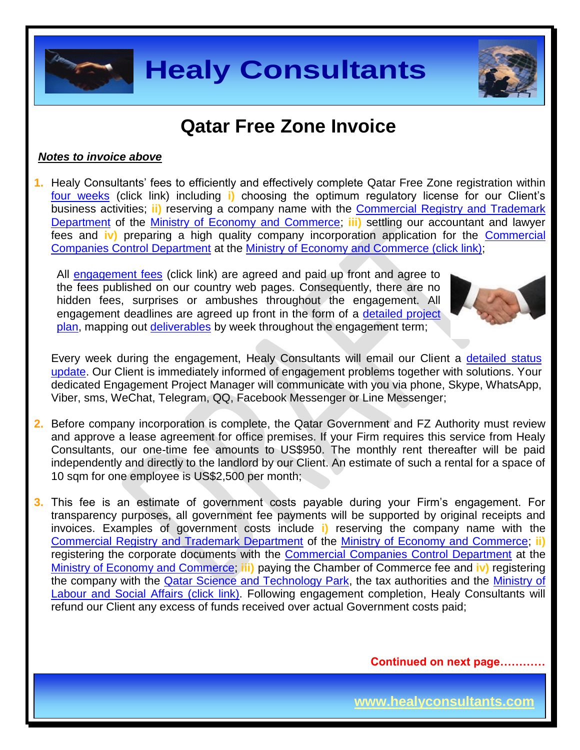

### **Qatar Free Zone Invoice**

#### *Notes to invoice above*

**1.** Healy Consultants' fees to efficiently and effectively complete Qatar Free Zone registration within [four weeks](http://www.healyconsultants.com/qatar-company-registration/fees-timelines/#timelines) (click link) including **i)** choosing the optimum regulatory license for our Client's business activities; **ii)** reserving a company name with the [Commercial Registry and Trademark](http://www.mec.gov.qa/en/departments/administration_Trade/registration-and-license-business)  [Department](http://www.mec.gov.qa/en/departments/administration_Trade/registration-and-license-business) of the [Ministry of Economy and Commerce;](http://www.mec.gov.qa/en/) **iii)** settling our accountant and lawyer fees and **iv)** preparing a high quality company incorporation application for the [Commercial](http://www.mec.gov.qa/en/departments/administration_Trade/companies-control)  [Companies Control Department](http://www.mec.gov.qa/en/departments/administration_Trade/companies-control) at the [Ministry of Economy and Commerce \(click link\);](http://www.mec.gov.qa/English/Pages/Home.aspx)

All [engagement fees](http://www.healyconsultants.com/company-registration-fees/) (click link) are agreed and paid up front and agree to the fees published on our country web pages. Consequently, there are no hidden fees, surprises or ambushes throughout the engagement. All engagement deadlines are agreed up front in the form of a [detailed project](http://www.healyconsultants.com/index-important-links/example-project-plan/)  [plan,](http://www.healyconsultants.com/index-important-links/example-project-plan/) mapping out [deliverables](http://www.healyconsultants.com/deliverables-to-our-clients/) by week throughout the engagement term;



Every week during the engagement, Healy Consultants will email our Client a detailed status [update.](http://www.healyconsultants.com/index-important-links/weekly-engagement-status-email/) Our Client is immediately informed of engagement problems together with solutions. Your dedicated Engagement Project Manager will communicate with you via phone, Skype, WhatsApp, Viber, sms, WeChat, Telegram, QQ, Facebook Messenger or Line Messenger;

- **2.** Before company incorporation is complete, the Qatar Government and FZ Authority must review and approve a lease agreement for office premises. If your Firm requires this service from Healy Consultants, our one-time fee amounts to US\$950. The monthly rent thereafter will be paid independently and directly to the landlord by our Client. An estimate of such a rental for a space of 10 sqm for one employee is US\$2,500 per month;
- **3.** This fee is an estimate of government costs payable during your Firm's engagement. For transparency purposes, all government fee payments will be supported by original receipts and invoices. Examples of government costs include **i)** reserving the company name with the [Commercial Registry and Trademark Department](http://www.mec.gov.qa/en/departments/administration_Trade/registration-and-license-business) of the [Ministry of Economy and Commerce;](http://www.mec.gov.qa/en/) **ii)** registering the corporate documents with the [Commercial Companies Control Department](http://www.mec.gov.qa/en/departments/administration_Trade/companies-control) at the [Ministry of Economy and Commerce;](http://www.mec.gov.qa/English/Pages/Home.aspx) **iii)** paying the Chamber of Commerce fee and **iv)** registering the company with the **Qatar Science and Technology Park**, the tax authorities and the **Ministry of** [Labour and Social Affairs \(click link\).](http://www.mol.gov.qa/) Following engagement completion, Healy Consultants will refund our Client any excess of funds received over actual Government costs paid;

**Continued on next page…………**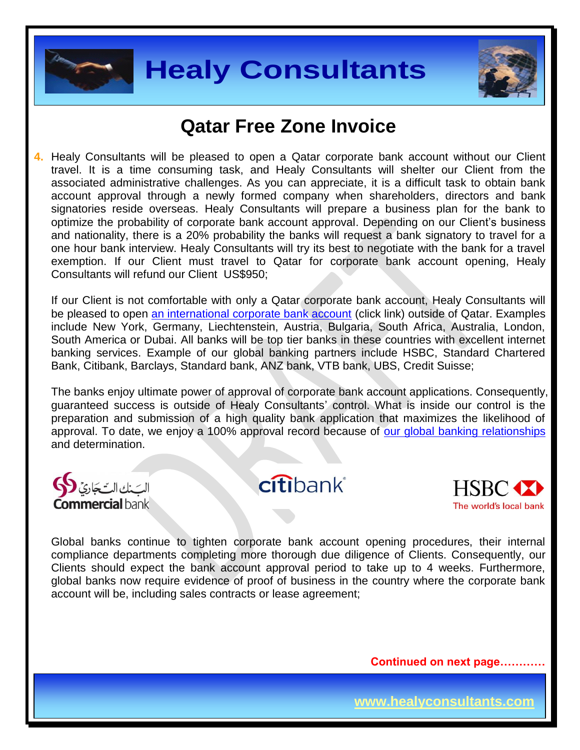



### **Qatar Free Zone Invoice**

**4.** Healy Consultants will be pleased to open a Qatar corporate bank account without our Client travel. It is a time consuming task, and Healy Consultants will shelter our Client from the associated administrative challenges. As you can appreciate, it is a difficult task to obtain bank account approval through a newly formed company when shareholders, directors and bank signatories reside overseas. Healy Consultants will prepare a business plan for the bank to optimize the probability of corporate bank account approval. Depending on our Client's business and nationality, there is a 20% probability the banks will request a bank signatory to travel for a one hour bank interview. Healy Consultants will try its best to negotiate with the bank for a travel exemption. If our Client must travel to Qatar for corporate bank account opening, Healy Consultants will refund our Client US\$950;

If our Client is not comfortable with only a Qatar corporate bank account, Healy Consultants will be pleased to open [an international corporate bank account](http://www.healyconsultants.com/international-banking/) (click link) outside of Qatar. Examples include New York, Germany, Liechtenstein, Austria, Bulgaria, South Africa, Australia, London, South America or Dubai. All banks will be top tier banks in these countries with excellent internet banking services. Example of our global banking partners include HSBC, Standard Chartered Bank, Citibank, Barclays, Standard bank, ANZ bank, VTB bank, UBS, Credit Suisse;

The banks enjoy ultimate power of approval of corporate bank account applications. Consequently, guaranteed success is outside of Healy Consultants' control. What is inside our control is the preparation and submission of a high quality bank application that maximizes the likelihood of approval. To date, we enjoy a 100% approval record because of [our global banking relationships](http://www.healyconsultants.com/international-banking/corporate-accounts/) and determination.

nmercial bank ļ,

citibank®



Global banks continue to tighten corporate bank account opening procedures, their internal compliance departments completing more thorough due diligence of Clients. Consequently, our Clients should expect the bank account approval period to take up to 4 weeks. Furthermore, global banks now require evidence of proof of business in the country where the corporate bank account will be, including sales contracts or lease agreement;

**Continued on next page…………**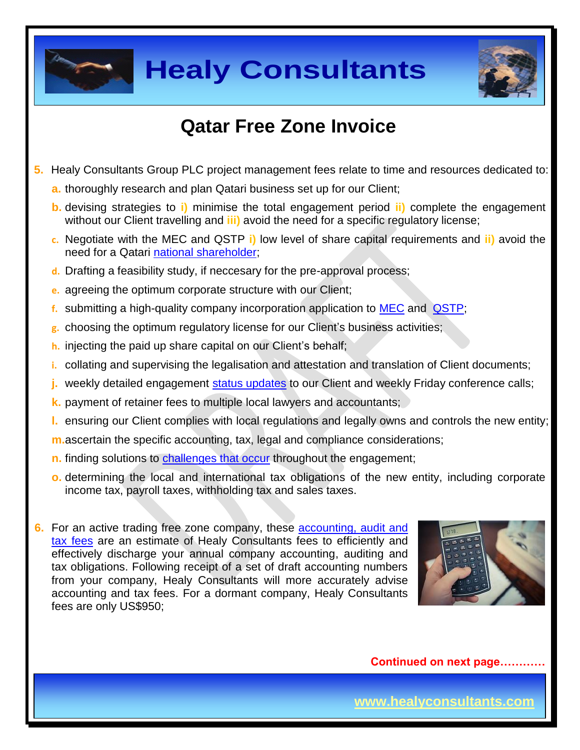



# **Qatar Free Zone Invoice**

- **5.** Healy Consultants Group PLC project management fees relate to time and resources dedicated to:
	- **a.** thoroughly research and plan Qatari business set up for our Client;
	- **b.** devising strategies to **i)** minimise the total engagement period **ii)** complete the engagement without our Client travelling and **iii)** avoid the need for a specific regulatory license;
	- **c.** Negotiate with the MEC and QSTP **i)** low level of share capital requirements and **ii)** avoid the need for a Qatari national [shareholder;](http://www.healyconsultants.com/corporate-advisory-services/nominee-shareholders-directors/national-shareholder-services/)
	- **d.** Drafting a feasibility study, if neccesary for the pre-approval process;
	- **e.** agreeing the optimum corporate structure with our Client;
	- **f.** submitting a high-quality company incorporation application to [MEC](http://www.mec.gov.qa/en/) and [QSTP;](https://qstp.org.qa/)
	- **g.** choosing the optimum regulatory license for our Client's business activities;
	- **h.** injecting the paid up share capital on our Client's behalf;
	- **i.** collating and supervising the legalisation and attestation and translation of Client documents;
	- weekly detailed engagement [status updates](http://www.healyconsultants.com/index-important-links/weekly-engagement-status-email/) to our Client and weekly Friday conference calls;
	- **k.** payment of retainer fees to multiple local lawyers and accountants;
	- **l.** ensuring our Client complies with local regulations and legally owns and controls the new entity;
	- **m.**ascertain the specific accounting, tax, legal and compliance considerations;
	- **n.** finding solutions to [challenges that occur](http://www.healyconsultants.com/engagement-project-management/) throughout the engagement;
	- **o.** determining the local and international tax obligations of the new entity, including corporate income tax, payroll taxes, withholding tax and sales taxes.
- **6.** For an active trading free zone company, these [accounting, audit](http://www.healyconsultants.com/uae-company-registration/accounting-legal/) and tax [fees](http://www.healyconsultants.com/uae-company-registration/accounting-legal/) are an estimate of Healy Consultants fees to efficiently and effectively discharge your annual company accounting, auditing and tax obligations. Following receipt of a set of draft accounting numbers from your company, Healy Consultants will more accurately advise accounting and tax fees. For a dormant company, Healy Consultants fees are only US\$950;



**Continued on next page…………**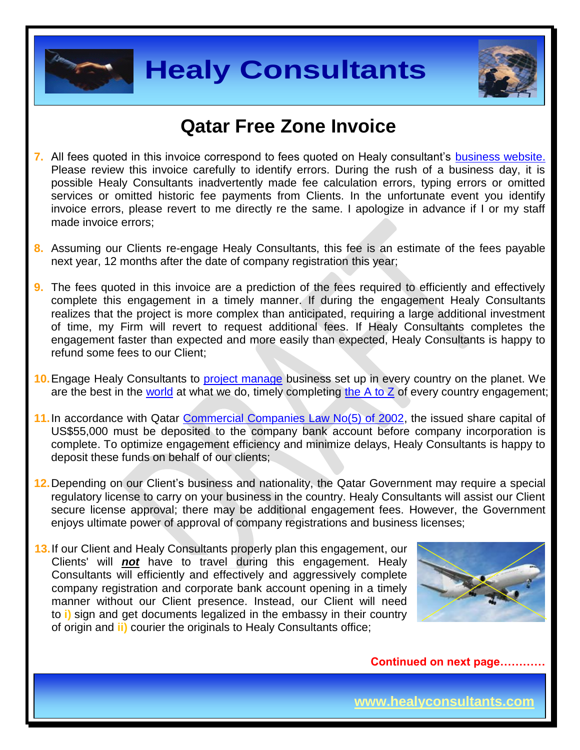



### **Qatar Free Zone Invoice**

- **7.** All fees quoted in this invoice correspond to fees quoted on Healy consultant's [business website.](http://www.healyconsultants.com/company-registration-fees/) Please review this invoice carefully to identify errors. During the rush of a business day, it is possible Healy Consultants inadvertently made fee calculation errors, typing errors or omitted services or omitted historic fee payments from Clients. In the unfortunate event you identify invoice errors, please revert to me directly re the same. I apologize in advance if I or my staff made invoice errors;
- **8.** Assuming our Clients re-engage Healy Consultants, this fee is an estimate of the fees payable next year, 12 months after the date of company registration this year;
- **9.** The fees quoted in this invoice are a prediction of the fees required to efficiently and effectively complete this engagement in a timely manner. If during the engagement Healy Consultants realizes that the project is more complex than anticipated, requiring a large additional investment of time, my Firm will revert to request additional fees. If Healy Consultants completes the engagement faster than expected and more easily than expected, Healy Consultants is happy to refund some fees to our Client;
- **10.** Engage Healy Consultants to [project manage](http://www.healyconsultants.com/project-manage-engagements/) business set up in every country on the planet. We are the best in the [world](http://www.healyconsultants.com/best-in-the-world/) at what we do, timely completing [the A to Z](http://www.healyconsultants.com/a-to-z-of-business-set-up/) of every country engagement;
- **11.**In accordance with Qatar [Commercial Companies Law No\(5\) of 2002,](http://www.qcb.gov.qa/English/Documents/QCB%20Law/Commercial_companies_law_En.pdf) the issued share capital of US\$55,000 must be deposited to the company bank account before company incorporation is complete. To optimize engagement efficiency and minimize delays, Healy Consultants is happy to deposit these funds on behalf of our clients;
- **12.**Depending on our Client's business and nationality, the Qatar Government may require a special regulatory license to carry on your business in the country. Healy Consultants will assist our Client secure license approval; there may be additional engagement fees. However, the Government enjoys ultimate power of approval of company registrations and business licenses;
- **13.**If our Client and Healy Consultants properly plan this engagement, our Clients' will *not* have to travel during this engagement. Healy Consultants will efficiently and effectively and aggressively complete company registration and corporate bank account opening in a timely manner without our Client presence. Instead, our Client will need to **i)** sign and get documents legalized in the embassy in their country of origin and **ii)** courier the originals to Healy Consultants office;



**Continued on next page…………**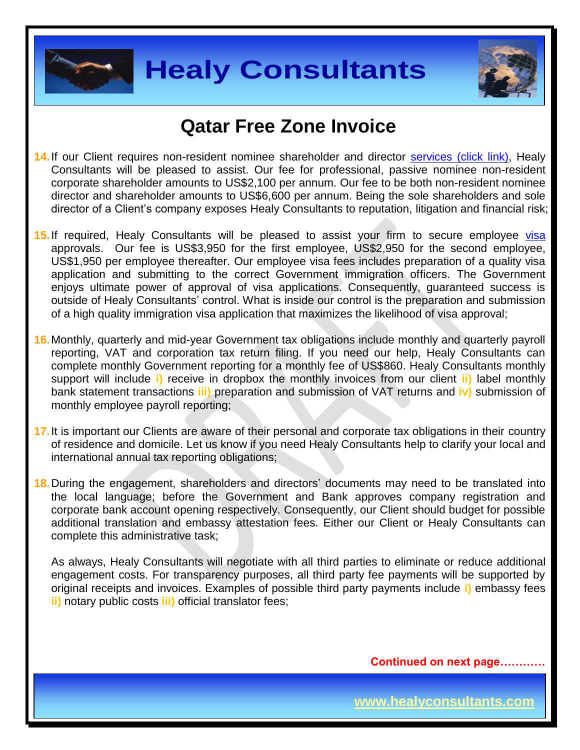



### **Qatar Free Zone Invoice**

- **14.**If our Client requires non-resident nominee shareholder and director [services \(click link\),](http://www.healyconsultants.com/corporate-outsourcing-services/nominee-shareholders-directors/) Healy Consultants will be pleased to assist. Our fee for professional, passive nominee non-resident corporate shareholder amounts to US\$2,100 per annum. Our fee to be both non-resident nominee director and shareholder amounts to US\$6,600 per annum. Being the sole shareholders and sole director of a Client's company exposes Healy Consultants to reputation, litigation and financial risk;
- 15. If required, Healy Consultants will be pleased to assist your firm to secure employee [visa](http://www.healyconsultants.com/qatar-company-registration/employment-visas/) approvals. Our fee is US\$3,950 for the first employee, US\$2,950 for the second employee, US\$1,950 per employee thereafter. Our employee visa fees includes preparation of a quality visa application and submitting to the correct Government immigration officers. The Government enjoys ultimate power of approval of visa applications. Consequently, guaranteed success is outside of Healy Consultants' control. What is inside our control is the preparation and submission of a high quality immigration visa application that maximizes the likelihood of visa approval;
- **16.**Monthly, quarterly and mid-year Government tax obligations include monthly and quarterly payroll reporting, VAT and corporation tax return filing. If you need our help, Healy Consultants can complete monthly Government reporting for a monthly fee of US\$860. Healy Consultants monthly support will include **i)** receive in dropbox the monthly invoices from our client **ii)** label monthly bank statement transactions **iii)** preparation and submission of VAT returns and **iv)** submission of monthly employee payroll reporting;
- **17.**It is important our Clients are aware of their personal and corporate tax obligations in their country of residence and domicile. Let us know if you need Healy Consultants help to clarify your local and international annual tax reporting obligations;
- **18.**During the engagement, shareholders and directors' documents may need to be translated into the local language; before the Government and Bank approves company registration and corporate bank account opening respectively. Consequently, our Client should budget for possible additional translation and embassy attestation fees. Either our Client or Healy Consultants can complete this administrative task;

As always, Healy Consultants will negotiate with all third parties to eliminate or reduce additional engagement costs. For transparency purposes, all third party fee payments will be supported by original receipts and invoices. Examples of possible third party payments include **i)** embassy fees **ii)** notary public costs **iii)** official translator fees;

**Continued on next page…………**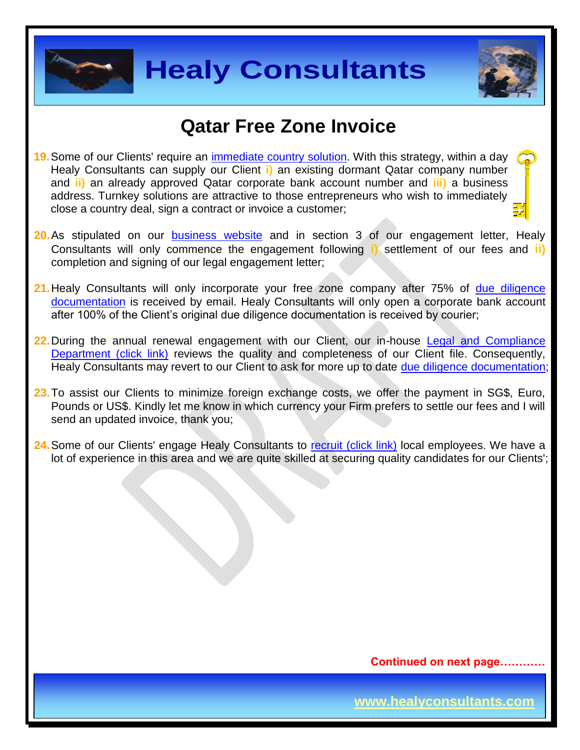



### **Qatar Free Zone Invoice**

- **19.**Some of our Clients' require an [immediate country](http://www.healyconsultants.com/turnkey-solutions/) solution. With this strategy, within a day Healy Consultants can supply our Client **i)** an existing dormant Qatar company number and **ii)** an already approved Qatar corporate bank account number and **iii)** a business address. Turnkey solutions are attractive to those entrepreneurs who wish to immediately close a country deal, sign a contract or invoice a customer;
- **20.**As stipulated on our **[business website](http://www.healyconsultants.com/)** and in section 3 of our engagement letter, Healy Consultants will only commence the engagement following **i)** settlement of our fees and **ii)** completion and signing of our legal engagement letter;
- **21.**Healy Consultants will only incorporate your free zone company after 75% of [due diligence](http://www.healyconsultants.com/due-diligence/)  [documentation](http://www.healyconsultants.com/due-diligence/) is received by email. Healy Consultants will only open a corporate bank account after 100% of the Client's original due diligence documentation is received by courier;
- **22.**During the annual renewal engagement with our Client, our in-house [Legal and Compliance](http://www.healyconsultants.com/about-us/key-personnel/cai-xin-profile/)  [Department \(click link\)](http://www.healyconsultants.com/about-us/key-personnel/cai-xin-profile/) reviews the quality and completeness of our Client file. Consequently, Healy Consultants may revert to our Client to ask for more up to date [due diligence documentation;](http://www.healyconsultants.com/due-diligence/)
- **23.**To assist our Clients to minimize foreign exchange costs, we offer the payment in SG\$, Euro, Pounds or US\$. Kindly let me know in which currency your Firm prefers to settle our fees and I will send an updated invoice, thank you;
- **24.** Some of our Clients' engage Healy Consultants to [recruit \(click link\)](http://www.healyconsultants.com/corporate-outsourcing-services/how-we-help-our-clients-recruit-quality-employees/) local employees. We have a lot of experience in this area and we are quite skilled at securing quality candidates for our Clients';

**Continued on next page…………**